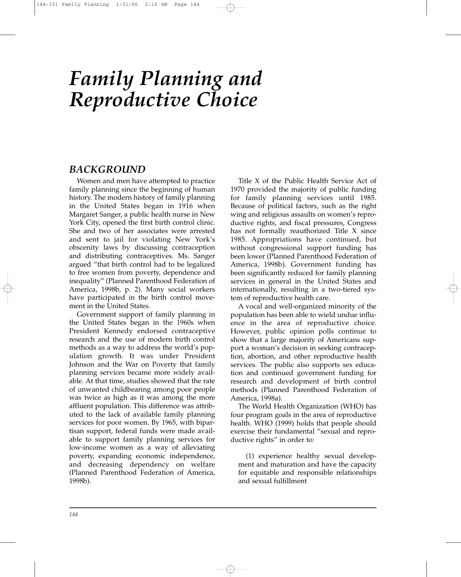# *Family Planning and Reproductive Choice*

## *BACKGROUND*

Women and men have attempted to practice family planning since the beginning of human history. The modern history of family planning in the United States began in 1916 when Margaret Sanger, a public health nurse in New York City, opened the first birth control clinic. She and two of her associates were arrested and sent to jail for violating New York's obscenity laws by discussing contraception and distributing contraceptives. Ms. Sanger argued "that birth control had to be legalized to free women from poverty, dependence and inequality" (Planned Parenthood Federation of America, 1998b, p. 2). Many social workers have participated in the birth control movement in the United States.

Government support of family planning in the United States began in the 1960s when President Kennedy endorsed contraceptive research and the use of modern birth control methods as a way to address the world's population growth. It was under President Johnson and the War on Poverty that family planning services became more widely available. At that time, studies showed that the rate of unwanted childbearing among poor people was twice as high as it was among the more affluent population. This difference was attributed to the lack of available family planning services for poor women. By 1965, with bipartisan support, federal funds were made available to support family planning services for low-income women as a way of alleviating poverty, expanding economic independence, and decreasing dependency on welfare (Planned Parenthood Federation of America, 1998b).

Title X of the Public Health Service Act of 1970 provided the majority of public funding for family planning services until 1985. Because of political factors, such as the right wing and religious assaults on women's reproductive rights, and fiscal pressures, Congress has not formally reauthorized Title X since 1985. Appropriations have continued, but without congressional support funding has been lower (Planned Parenthood Federation of America, 1998b). Government funding has been significantly reduced for family planning services in general in the United States and internationally, resulting in a two-tiered system of reproductive health care.

A vocal and well-organized minority of the population has been able to wield undue influence in the area of reproductive choice. However, public opinion polls continue to show that a large majority of Americans support a woman's decision in seeking contraception, abortion, and other reproductive health services. The public also supports sex education and continued government funding for research and development of birth control methods (Planned Parenthood Federation of America, 1998a).

The World Health Organization (WHO) has four program goals in the area of reproductive health. WHO (1999) holds that people should exercise their fundamental "sexual and reproductive rights" in order to:

(1) experience healthy sexual development and maturation and have the capacity for equitable and responsible relationships and sexual fulfillment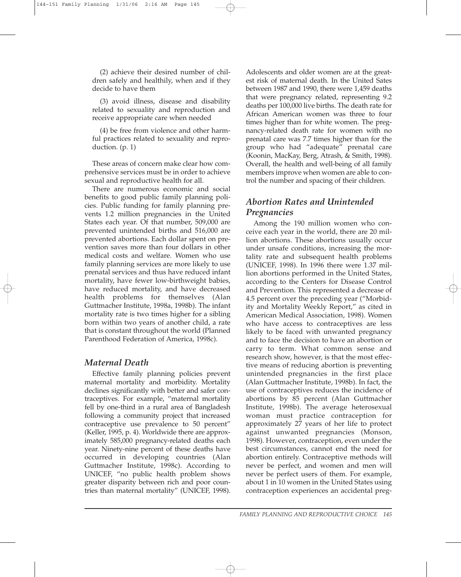(2) achieve their desired number of children safely and healthily, when and if they decide to have them

(3) avoid illness, disease and disability related to sexuality and reproduction and receive appropriate care when needed

(4) be free from violence and other harmful practices related to sexuality and reproduction. (p. 1)

These areas of concern make clear how comprehensive services must be in order to achieve sexual and reproductive health for all.

There are numerous economic and social benefits to good public family planning policies. Public funding for family planning prevents 1.2 million pregnancies in the United States each year. Of that number, 509,000 are prevented unintended births and 516,000 are prevented abortions. Each dollar spent on prevention saves more than four dollars in other medical costs and welfare. Women who use family planning services are more likely to use prenatal services and thus have reduced infant mortality, have fewer low-birthweight babies, have reduced mortality, and have decreased health problems for themselves (Alan Guttmacher Institute, 1998a, 1998b). The infant mortality rate is two times higher for a sibling born within two years of another child, a rate that is constant throughout the world (Planned Parenthood Federation of America, 1998c).

#### *Maternal Death*

Effective family planning policies prevent maternal mortality and morbidity. Mortality declines significantly with better and safer contraceptives. For example, "maternal mortality fell by one-third in a rural area of Bangladesh following a community project that increased contraceptive use prevalence to 50 percent" (Keller, 1995, p. 4). Worldwide there are approximately 585,000 pregnancy-related deaths each year. Ninety-nine percent of these deaths have occurred in developing countries (Alan Guttmacher Institute, 1998c). According to UNICEF, "no public health problem shows greater disparity between rich and poor countries than maternal mortality" (UNICEF, 1998).

Adolescents and older women are at the greatest risk of maternal death. In the United Sates between 1987 and 1990, there were 1,459 deaths that were pregnancy related, representing 9.2 deaths per 100,000 live births. The death rate for African American women was three to four times higher than for white women. The pregnancy-related death rate for women with no prenatal care was 7.7 times higher than for the group who had "adequate" prenatal care (Koonin, MacKay, Berg, Atrash, & Smith, 1998). Overall, the health and well-being of all family members improve when women are able to control the number and spacing of their children.

## *Abortion Rates and Unintended Pregnancies*

Among the 190 million women who conceive each year in the world, there are 20 million abortions. These abortions usually occur under unsafe conditions, increasing the mortality rate and subsequent health problems (UNICEF, 1998). In 1996 there were 1.37 million abortions performed in the United States, according to the Centers for Disease Control and Prevention. This represented a decrease of 4.5 percent over the preceding year ("Morbidity and Mortality Weekly Report," as cited in American Medical Association, 1998). Women who have access to contraceptives are less likely to be faced with unwanted pregnancy and to face the decision to have an abortion or carry to term. What common sense and research show, however, is that the most effective means of reducing abortion is preventing unintended pregnancies in the first place (Alan Guttmacher Institute, 1998b). In fact, the use of contraceptives reduces the incidence of abortions by 85 percent (Alan Guttmacher Institute, 1998b). The average heterosexual woman must practice contraception for approximately 27 years of her life to protect against unwanted pregnancies (Monson, 1998). However, contraception, even under the best circumstances, cannot end the need for abortion entirely. Contraceptive methods will never be perfect, and women and men will never be perfect users of them. For example, about 1 in 10 women in the United States using contraception experiences an accidental preg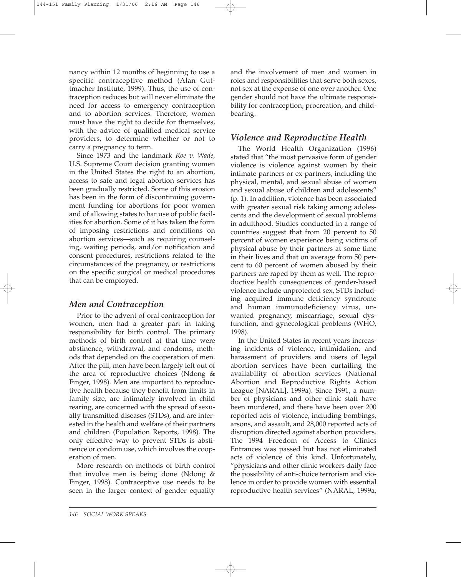nancy within 12 months of beginning to use a specific contraceptive method (Alan Guttmacher Institute, 1999). Thus, the use of contraception reduces but will never eliminate the need for access to emergency contraception and to abortion services. Therefore, women must have the right to decide for themselves, with the advice of qualified medical service providers, to determine whether or not to carry a pregnancy to term.

Since 1973 and the landmark *Roe v. Wade,* U.S. Supreme Court decision granting women in the United States the right to an abortion, access to safe and legal abortion services has been gradually restricted. Some of this erosion has been in the form of discontinuing government funding for abortions for poor women and of allowing states to bar use of public facilities for abortion. Some of it has taken the form of imposing restrictions and conditions on abortion services—such as requiring counseling, waiting periods, and/or notification and consent procedures, restrictions related to the circumstances of the pregnancy, or restrictions on the specific surgical or medical procedures that can be employed.

#### *Men and Contraception*

Prior to the advent of oral contraception for women, men had a greater part in taking responsibility for birth control. The primary methods of birth control at that time were abstinence, withdrawal, and condoms, methods that depended on the cooperation of men. After the pill, men have been largely left out of the area of reproductive choices (Ndong & Finger, 1998). Men are important to reproductive health because they benefit from limits in family size, are intimately involved in child rearing, are concerned with the spread of sexually transmitted diseases (STDs), and are interested in the health and welfare of their partners and children (Population Reports, 1998). The only effective way to prevent STDs is abstinence or condom use, which involves the cooperation of men.

More research on methods of birth control that involve men is being done (Ndong & Finger, 1998). Contraceptive use needs to be seen in the larger context of gender equality and the involvement of men and women in roles and responsibilities that serve both sexes, not sex at the expense of one over another. One gender should not have the ultimate responsibility for contraception, procreation, and childbearing.

#### *Violence and Reproductive Health*

The World Health Organization (1996) stated that "the most pervasive form of gender violence is violence against women by their intimate partners or ex-partners, including the physical, mental, and sexual abuse of women and sexual abuse of children and adolescents" (p. 1). In addition, violence has been associated with greater sexual risk taking among adolescents and the development of sexual problems in adulthood. Studies conducted in a range of countries suggest that from 20 percent to 50 percent of women experience being victims of physical abuse by their partners at some time in their lives and that on average from 50 percent to 60 percent of women abused by their partners are raped by them as well. The reproductive health consequences of gender-based violence include unprotected sex, STDs including acquired immune deficiency syndrome and human immunodeficiency virus, unwanted pregnancy, miscarriage, sexual dysfunction, and gynecological problems (WHO, 1998).

In the United States in recent years increasing incidents of violence, intimidation, and harassment of providers and users of legal abortion services have been curtailing the availability of abortion services (National Abortion and Reproductive Rights Action League [NARAL], 1999a). Since 1991, a number of physicians and other clinic staff have been murdered, and there have been over 200 reported acts of violence, including bombings, arsons, and assault, and 28,000 reported acts of disruption directed against abortion providers. The 1994 Freedom of Access to Clinics Entrances was passed but has not eliminated acts of violence of this kind. Unfortunately, "physicians and other clinic workers daily face the possibility of anti-choice terrorism and violence in order to provide women with essential reproductive health services" (NARAL, 1999a,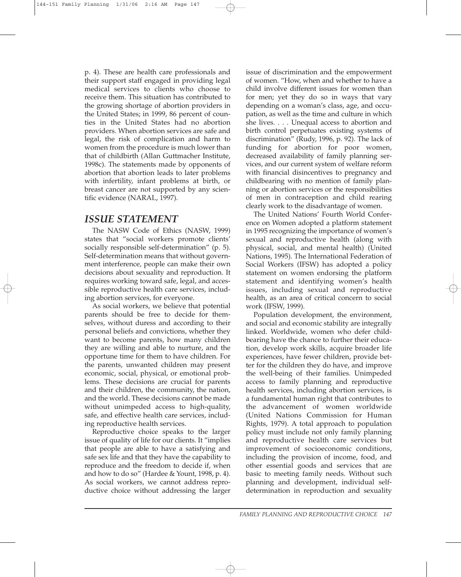p. 4). These are health care professionals and their support staff engaged in providing legal medical services to clients who choose to receive them. This situation has contributed to the growing shortage of abortion providers in the United States; in 1999, 86 percent of counties in the United States had no abortion providers. When abortion services are safe and legal, the risk of complication and harm to women from the procedure is much lower than that of childbirth (Allan Guttmacher Institute, 1998c). The statements made by opponents of abortion that abortion leads to later problems with infertility, infant problems at birth, or breast cancer are not supported by any scientific evidence (NARAL, 1997).

### *ISSUE STATEMENT*

The NASW Code of Ethics (NASW, 1999) states that "social workers promote clients' socially responsible self-determination" (p. 5). Self-determination means that without government interference, people can make their own decisions about sexuality and reproduction. It requires working toward safe, legal, and accessible reproductive health care services, including abortion services, for everyone.

As social workers, we believe that potential parents should be free to decide for themselves, without duress and according to their personal beliefs and convictions, whether they want to become parents, how many children they are willing and able to nurture, and the opportune time for them to have children. For the parents, unwanted children may present economic, social, physical, or emotional problems. These decisions are crucial for parents and their children, the community, the nation, and the world. These decisions cannot be made without unimpeded access to high-quality, safe, and effective health care services, including reproductive health services.

Reproductive choice speaks to the larger issue of quality of life for our clients. It "implies that people are able to have a satisfying and safe sex life and that they have the capability to reproduce and the freedom to decide if, when and how to do so" (Hardee & Yount, 1998, p. 4). As social workers, we cannot address reproductive choice without addressing the larger

issue of discrimination and the empowerment of women. "How, when and whether to have a child involve different issues for women than for men; yet they do so in ways that vary depending on a woman's class, age, and occupation, as well as the time and culture in which she lives. . . . Unequal access to abortion and birth control perpetuates existing systems of discrimination" (Rudy, 1996, p. 92). The lack of funding for abortion for poor women, decreased availability of family planning services, and our current system of welfare reform with financial disincentives to pregnancy and childbearing with no mention of family planning or abortion services or the responsibilities of men in contraception and child rearing clearly work to the disadvantage of women.

The United Nations' Fourth World Conference on Women adopted a platform statement in 1995 recognizing the importance of women's sexual and reproductive health (along with physical, social, and mental health) (United Nations, 1995). The International Federation of Social Workers (IFSW) has adopted a policy statement on women endorsing the platform statement and identifying women's health issues, including sexual and reproductive health, as an area of critical concern to social work (IFSW, 1999).

Population development, the environment, and social and economic stability are integrally linked. Worldwide, women who defer childbearing have the chance to further their education, develop work skills, acquire broader life experiences, have fewer children, provide better for the children they do have, and improve the well-being of their families. Unimpeded access to family planning and reproductive health services, including abortion services, is a fundamental human right that contributes to the advancement of women worldwide (United Nations Commission for Human Rights, 1979). A total approach to population policy must include not only family planning and reproductive health care services but improvement of socioeconomic conditions, including the provision of income, food, and other essential goods and services that are basic to meeting family needs. Without such planning and development, individual selfdetermination in reproduction and sexuality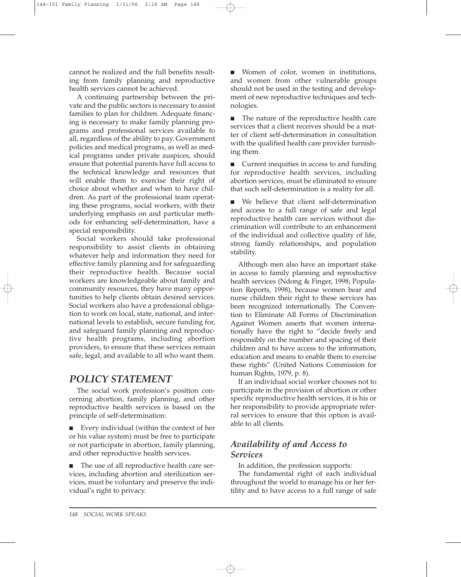cannot be realized and the full benefits resulting from family planning and reproductive health services cannot be achieved.

A continuing partnership between the private and the public sectors is necessary to assist families to plan for children. Adequate financing is necessary to make family planning programs and professional services available to all, regardless of the ability to pay. Government policies and medical programs, as well as medical programs under private auspices, should ensure that potential parents have full access to the technical knowledge and resources that will enable them to exercise their right of choice about whether and when to have children. As part of the professional team operating these programs, social workers, with their underlying emphasis on and particular methods for enhancing self-determination, have a special responsibility.

Social workers should take professional responsibility to assist clients in obtaining whatever help and information they need for effective family planning and for safeguarding their reproductive health. Because social workers are knowledgeable about family and community resources, they have many opportunities to help clients obtain desired services. Social workers also have a professional obligation to work on local, state, national, and international levels to establish, secure funding for, and safeguard family planning and reproductive health programs, including abortion providers, to ensure that these services remain safe, legal, and available to all who want them.

## *POLICY STATEMENT*

The social work profession's position concerning abortion, family planning, and other reproductive health services is based on the principle of self-determination:

■ Every individual (within the context of her or his value system) must be free to participate or not participate in abortion, family planning, and other reproductive health services.

■ The use of all reproductive health care services, including abortion and sterilization services, must be voluntary and preserve the individual's right to privacy.

■ Women of color, women in institutions, and women from other vulnerable groups should not be used in the testing and development of new reproductive techniques and technologies.

■ The nature of the reproductive health care services that a client receives should be a matter of client self-determination in consultation with the qualified health care provider furnishing them.

■ Current inequities in access to and funding for reproductive health services, including abortion services, must be eliminated to ensure that such self-determination is a reality for all.

■ We believe that client self-determination and access to a full range of safe and legal reproductive health care services without discrimination will contribute to an enhancement of the individual and collective quality of life, strong family relationships, and population stability.

Although men also have an important stake in access to family planning and reproductive health services (Ndong & Finger, 1998; Population Reports, 1998), because women bear and nurse children their right to these services has been recognized internationally. The Convention to Eliminate All Forms of Discrimination Against Women asserts that women internationally have the right to "decide freely and responsibly on the number and spacing of their children and to have access to the information, education and means to enable them to exercise these rights" (United Nations Commission for human Rights, 1979, p. 8).

If an individual social worker chooses not to participate in the provision of abortion or other specific reproductive health services, it is his or her responsibility to provide appropriate referral services to ensure that this option is available to all clients.

## *Availability of and Access to Services*

In addition, the profession supports:

The fundamental right of each individual throughout the world to manage his or her fertility and to have access to a full range of safe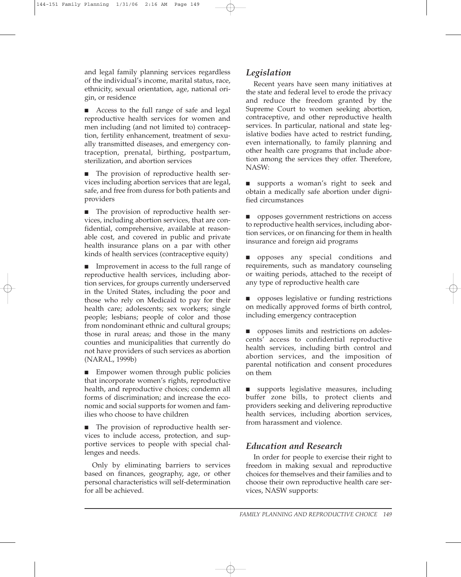and legal family planning services regardless of the individual's income, marital status, race, ethnicity, sexual orientation, age, national origin, or residence

■ Access to the full range of safe and legal reproductive health services for women and men including (and not limited to) contraception, fertility enhancement, treatment of sexually transmitted diseases, and emergency contraception, prenatal, birthing, postpartum, sterilization, and abortion services

■ The provision of reproductive health services including abortion services that are legal, safe, and free from duress for both patients and providers

■ The provision of reproductive health services, including abortion services, that are confidential, comprehensive, available at reasonable cost, and covered in public and private health insurance plans on a par with other kinds of health services (contraceptive equity)

■ Improvement in access to the full range of reproductive health services, including abortion services, for groups currently underserved in the United States, including the poor and those who rely on Medicaid to pay for their health care; adolescents; sex workers; single people; lesbians; people of color and those from nondominant ethnic and cultural groups; those in rural areas; and those in the many counties and municipalities that currently do not have providers of such services as abortion (NARAL, 1999b)

■ Empower women through public policies that incorporate women's rights, reproductive health, and reproductive choices; condemn all forms of discrimination; and increase the economic and social supports for women and families who choose to have children

■ The provision of reproductive health services to include access, protection, and supportive services to people with special challenges and needs.

Only by eliminating barriers to services based on finances, geography, age, or other personal characteristics will self-determination for all be achieved.

#### *Legislation*

Recent years have seen many initiatives at the state and federal level to erode the privacy and reduce the freedom granted by the Supreme Court to women seeking abortion, contraceptive, and other reproductive health services. In particular, national and state legislative bodies have acted to restrict funding, even internationally, to family planning and other health care programs that include abortion among the services they offer. Therefore, NASW:

■ supports a woman's right to seek and obtain a medically safe abortion under dignified circumstances

■ opposes government restrictions on access to reproductive health services, including abortion services, or on financing for them in health insurance and foreign aid programs

■ opposes any special conditions and requirements, such as mandatory counseling or waiting periods, attached to the receipt of any type of reproductive health care

■ opposes legislative or funding restrictions on medically approved forms of birth control, including emergency contraception

■ opposes limits and restrictions on adolescents' access to confidential reproductive health services, including birth control and abortion services, and the imposition of parental notification and consent procedures on them

■ supports legislative measures, including buffer zone bills, to protect clients and providers seeking and delivering reproductive health services, including abortion services, from harassment and violence.

#### *Education and Research*

In order for people to exercise their right to freedom in making sexual and reproductive choices for themselves and their families and to choose their own reproductive health care services, NASW supports: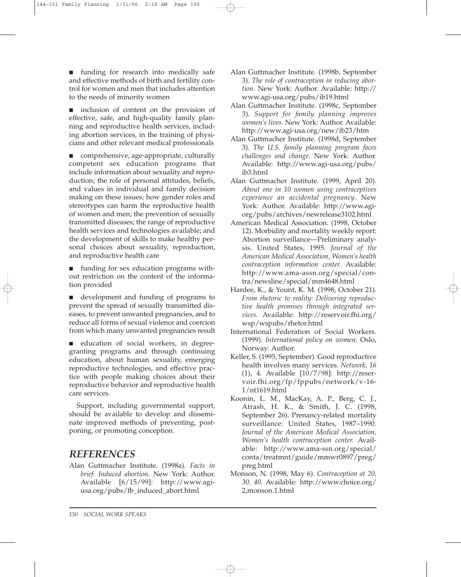■ funding for research into medically safe and effective methods of birth and fertility control for women and men that includes attention to the needs of minority women

■ inclusion of content on the provision of effective, safe, and high-quality family planning and reproductive health services, including abortion services, in the training of physicians and other relevant medical professionals

■ comprehensive, age-appropriate, culturally competent sex education programs that include information about sexuality and reproduction; the role of personal attitudes, beliefs, and values in individual and family decision making on these issues; how gender roles and stereotypes can harm the reproductive health of women and men; the prevention of sexually transmitted diseases; the range of reproductive health services and technologies available; and the development of skills to make healthy personal choices about sexuality, reproduction, and reproductive health care

■ funding for sex education programs without restriction on the content of the information provided

■ development and funding of programs to prevent the spread of sexually transmitted diseases, to prevent unwanted pregnancies, and to reduce all forms of sexual violence and coercion from which many unwanted pregnancies result

■ education of social workers, in degreegranting programs and through continuing education, about human sexuality, emerging reproductive technologies, and effective practice with people making choices about their reproductive behavior and reproductive health care services.

Support, including governmental support, should be available to develop and disseminate improved methods of preventing, postponing, or promoting conception.

# *REFERENCES*

Alan Guttmacher Institute. (1998a). *Facts in brief: Induced abortion.* New York: Author. Available [6/15/99]: http://www.agiusa.org/pubs/fb\_induced\_abort.html

- Alan Guttmacher Institute. (1998b, September 3). *The role of contraception in reducing abortion*. New York: Author. Available: http:// www.agi-usa.org/pubs/ib19.html
- Alan Guttmacher Institute. (1998c, September 3). *Support for family planning improves women's lives*. New York: Author. Available: http://www.agi-usa.org/new/ib23/htm
- Alan Guttmacher Institute. (1998d, September 3). *The U.S. family planning program faces challenges and change*. New York: Author. Available: http://www.agi-usa.org/pubs/ ib3.html
- Alan Guttmacher Institute. (1999, April 20). *About one in 10 women using contraceptives experience an accidental pregnancy*. New York: Author. Available: http://www.agiorg/pubs/archives/newrelease3102.html
- American Medical Association. (1998, October 12). Morbidity and mortality weekly report: Abortion surveillance—Preliminary analysis. United States, 1995. *Journal of the American Medical Association*, *Women's health contraception information center.* Available: http://www.ama-assn.org/special/contra/newsline/special/mm4648.html
- Hardee, K., & Yount, K. M. (1998, October 21). *From rhetoric to reality: Delivering reproductive health promises through integrated services.* Available: http://reservoir.fhi.org/ wsp/wspubs/rhetor.html
- International Federation of Social Workers. (1999). *International policy on women.* Oslo, Norway: Author.
- Keller, S. (1995, September). Good reproductive health involves many services. *Network, 16* (1), 4. Available [10/7/98]: http://reservoir.fhi.org/fp/fppubs/network/v-16- 1/nt1619.html
- Koonin, L. M., MacKay, A. P., Berg, C. J., Atrash, H. K., & Smith, J. C. (1998, September 26). Prenancy-related mortality surveillance: United States, 1987–1990. *Journal of the American Medical Association, Women's health contraception center.* Available: http://www.ama-ssn.org/special/ conta/treatmnt/guide/mmwr0897/preg/ preg.html
- Monson, N. (1998, May 6). *Contraception at 20, 30, 40*. Available: http://www.choice.org/ 2,monson.1.html